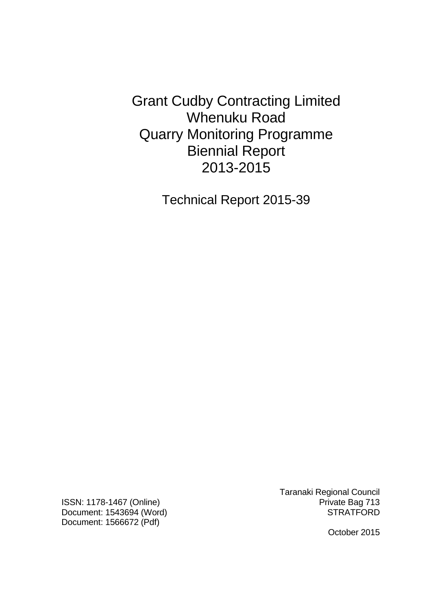Grant Cudby Contracting Limited Whenuku Road Quarry Monitoring Programme Biennial Report 2013-2015

Technical Report 2015-39

ISSN: 1178-1467 (Online) **Private Bag 713** Document: 1543694 (Word) STRATFORD Document: 1566672 (Pdf)

Taranaki Regional Council

October 2015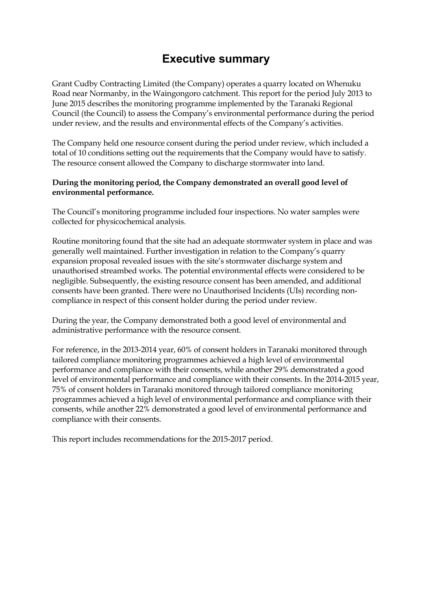## **Executive summary**

Grant Cudby Contracting Limited (the Company) operates a quarry located on Whenuku Road near Normanby, in the Waingongoro catchment. This report for the period July 2013 to June 2015 describes the monitoring programme implemented by the Taranaki Regional Council (the Council) to assess the Company's environmental performance during the period under review, and the results and environmental effects of the Company's activities.

The Company held one resource consent during the period under review, which included a total of 10 conditions setting out the requirements that the Company would have to satisfy. The resource consent allowed the Company to discharge stormwater into land.

#### **During the monitoring period, the Company demonstrated an overall good level of environmental performance.**

The Council's monitoring programme included four inspections. No water samples were collected for physicochemical analysis.

Routine monitoring found that the site had an adequate stormwater system in place and was generally well maintained. Further investigation in relation to the Company's quarry expansion proposal revealed issues with the site's stormwater discharge system and unauthorised streambed works. The potential environmental effects were considered to be negligible. Subsequently, the existing resource consent has been amended, and additional consents have been granted. There were no Unauthorised Incidents (UIs) recording noncompliance in respect of this consent holder during the period under review.

During the year, the Company demonstrated both a good level of environmental and administrative performance with the resource consent.

For reference, in the 2013-2014 year, 60% of consent holders in Taranaki monitored through tailored compliance monitoring programmes achieved a high level of environmental performance and compliance with their consents, while another 29% demonstrated a good level of environmental performance and compliance with their consents. In the 2014-2015 year, 75% of consent holders in Taranaki monitored through tailored compliance monitoring programmes achieved a high level of environmental performance and compliance with their consents, while another 22% demonstrated a good level of environmental performance and compliance with their consents.

This report includes recommendations for the 2015-2017 period.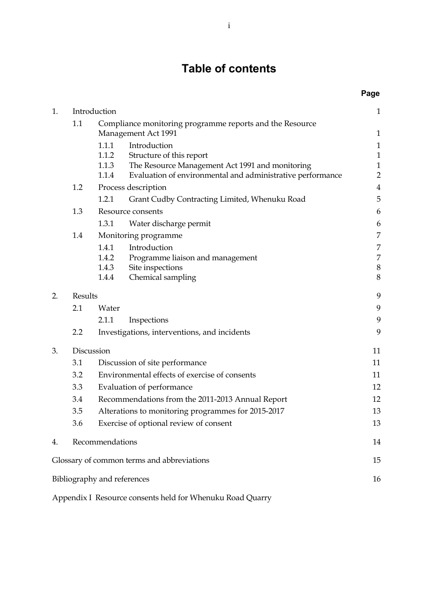# **Table of contents**

**Page** 

| 1. | Introduction |                                                                                                                                                                                               | $\mathbf{1}$                                                  |
|----|--------------|-----------------------------------------------------------------------------------------------------------------------------------------------------------------------------------------------|---------------------------------------------------------------|
|    | 1.1          | Compliance monitoring programme reports and the Resource<br>Management Act 1991                                                                                                               | $\mathbf{1}$                                                  |
|    |              | 1.1.1<br>Introduction<br>1.1.2<br>Structure of this report<br>1.1.3<br>The Resource Management Act 1991 and monitoring<br>1.1.4<br>Evaluation of environmental and administrative performance | $\mathbf{1}$<br>$\mathbf{1}$<br>$\mathbf 1$<br>$\overline{2}$ |
|    | 1.2          | Process description                                                                                                                                                                           | $\overline{4}$                                                |
|    |              | 1.2.1<br>Grant Cudby Contracting Limited, Whenuku Road                                                                                                                                        | 5                                                             |
|    | 1.3          | Resource consents                                                                                                                                                                             | 6                                                             |
|    |              | 1.3.1<br>Water discharge permit                                                                                                                                                               | 6                                                             |
|    | 1.4          | Monitoring programme                                                                                                                                                                          | 7                                                             |
|    |              | 1.4.1<br>Introduction<br>1.4.2<br>Programme liaison and management<br>1.4.3<br>Site inspections<br>1.4.4<br>Chemical sampling                                                                 | 7<br>7<br>$\boldsymbol{8}$<br>8                               |
| 2. | Results      |                                                                                                                                                                                               | 9                                                             |
|    | 2.1          | Water                                                                                                                                                                                         | 9                                                             |
|    |              | 2.1.1<br>Inspections                                                                                                                                                                          | 9                                                             |
|    | 2.2          | Investigations, interventions, and incidents                                                                                                                                                  |                                                               |
| 3. |              | Discussion                                                                                                                                                                                    | 11                                                            |
|    | 3.1          | Discussion of site performance                                                                                                                                                                |                                                               |
|    | 3.2          | Environmental effects of exercise of consents                                                                                                                                                 |                                                               |
|    | 3.3          | Evaluation of performance                                                                                                                                                                     |                                                               |
|    | 3.4          | Recommendations from the 2011-2013 Annual Report                                                                                                                                              |                                                               |
|    | 3.5          | Alterations to monitoring programmes for 2015-2017                                                                                                                                            |                                                               |
|    | 3.6          | Exercise of optional review of consent                                                                                                                                                        | 13                                                            |
| 4. |              | Recommendations                                                                                                                                                                               | 14                                                            |
|    |              | Glossary of common terms and abbreviations                                                                                                                                                    | 15                                                            |
|    |              | Bibliography and references                                                                                                                                                                   | 16                                                            |

Appendix I Resource consents held for Whenuku Road Quarry 1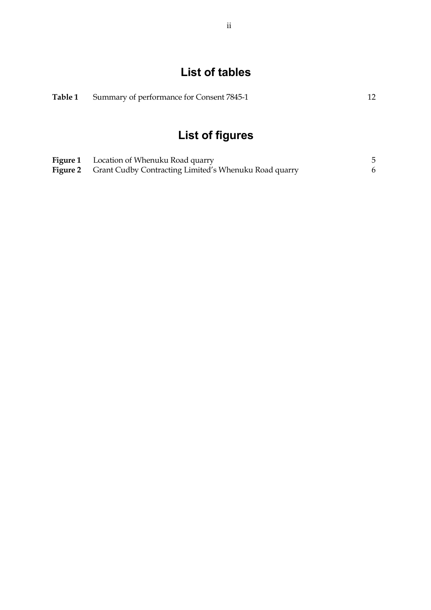# **List of tables**

|  | Table 1 Summary of performance for Consent 7845-1 |  |
|--|---------------------------------------------------|--|
|--|---------------------------------------------------|--|

# **List of figures**

| <b>Figure 1</b> Location of Whenuku Road quarry                       |  |
|-----------------------------------------------------------------------|--|
| <b>Figure 2</b> Grant Cudby Contracting Limited's Whenuku Road quarry |  |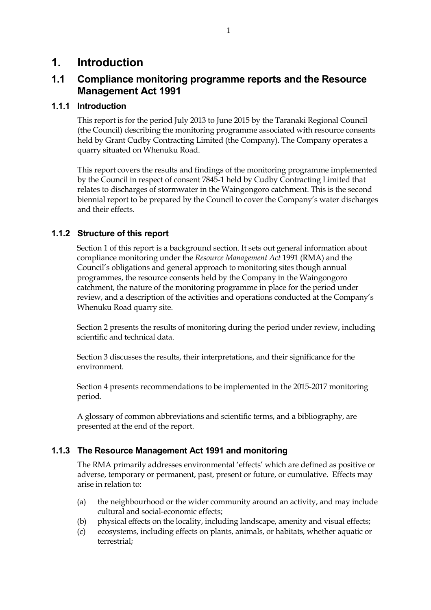## **1. Introduction**

## **1.1 Compliance monitoring programme reports and the Resource Management Act 1991**

#### **1.1.1 Introduction**

This report is for the period July 2013 to June 2015 by the Taranaki Regional Council (the Council) describing the monitoring programme associated with resource consents held by Grant Cudby Contracting Limited (the Company). The Company operates a quarry situated on Whenuku Road.

This report covers the results and findings of the monitoring programme implemented by the Council in respect of consent 7845-1 held by Cudby Contracting Limited that relates to discharges of stormwater in the Waingongoro catchment. This is the second biennial report to be prepared by the Council to cover the Company's water discharges and their effects.

#### **1.1.2 Structure of this report**

Section 1 of this report is a background section. It sets out general information about compliance monitoring under the *Resource Management Act* 1991 (RMA) and the Council's obligations and general approach to monitoring sites though annual programmes, the resource consents held by the Company in the Waingongoro catchment, the nature of the monitoring programme in place for the period under review, and a description of the activities and operations conducted at the Company's Whenuku Road quarry site.

Section 2 presents the results of monitoring during the period under review, including scientific and technical data.

Section 3 discusses the results, their interpretations, and their significance for the environment.

Section 4 presents recommendations to be implemented in the 2015-2017 monitoring period.

A glossary of common abbreviations and scientific terms, and a bibliography, are presented at the end of the report.

#### **1.1.3 The Resource Management Act 1991 and monitoring**

The RMA primarily addresses environmental 'effects' which are defined as positive or adverse, temporary or permanent, past, present or future, or cumulative. Effects may arise in relation to:

- (a) the neighbourhood or the wider community around an activity, and may include cultural and social-economic effects;
- (b) physical effects on the locality, including landscape, amenity and visual effects;
- (c) ecosystems, including effects on plants, animals, or habitats, whether aquatic or terrestrial;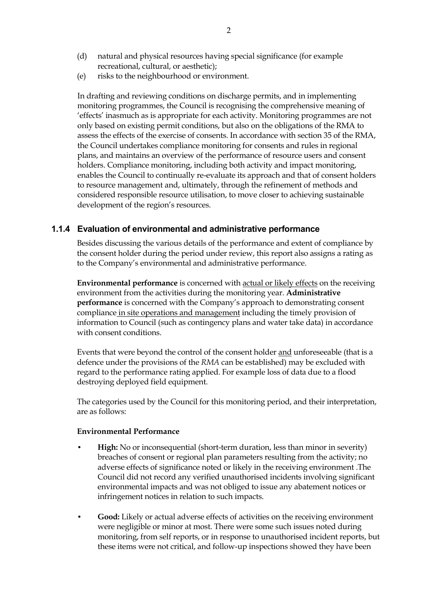(e) risks to the neighbourhood or environment.

In drafting and reviewing conditions on discharge permits, and in implementing monitoring programmes, the Council is recognising the comprehensive meaning of 'effects' inasmuch as is appropriate for each activity. Monitoring programmes are not only based on existing permit conditions, but also on the obligations of the RMA to assess the effects of the exercise of consents. In accordance with section 35 of the RMA, the Council undertakes compliance monitoring for consents and rules in regional plans, and maintains an overview of the performance of resource users and consent holders. Compliance monitoring, including both activity and impact monitoring, enables the Council to continually re-evaluate its approach and that of consent holders to resource management and, ultimately, through the refinement of methods and considered responsible resource utilisation, to move closer to achieving sustainable development of the region's resources.

#### **1.1.4 Evaluation of environmental and administrative performance**

Besides discussing the various details of the performance and extent of compliance by the consent holder during the period under review, this report also assigns a rating as to the Company's environmental and administrative performance.

**Environmental performance** is concerned with actual or likely effects on the receiving environment from the activities during the monitoring year. **Administrative performance** is concerned with the Company's approach to demonstrating consent compliance in site operations and management including the timely provision of information to Council (such as contingency plans and water take data) in accordance with consent conditions.

Events that were beyond the control of the consent holder and unforeseeable (that is a defence under the provisions of the *RMA* can be established) may be excluded with regard to the performance rating applied. For example loss of data due to a flood destroying deployed field equipment.

The categories used by the Council for this monitoring period, and their interpretation, are as follows:

#### **Environmental Performance**

- **High:** No or inconsequential (short-term duration, less than minor in severity) breaches of consent or regional plan parameters resulting from the activity; no adverse effects of significance noted or likely in the receiving environment .The Council did not record any verified unauthorised incidents involving significant environmental impacts and was not obliged to issue any abatement notices or infringement notices in relation to such impacts.
- **Good:** Likely or actual adverse effects of activities on the receiving environment were negligible or minor at most. There were some such issues noted during monitoring, from self reports, or in response to unauthorised incident reports, but these items were not critical, and follow-up inspections showed they have been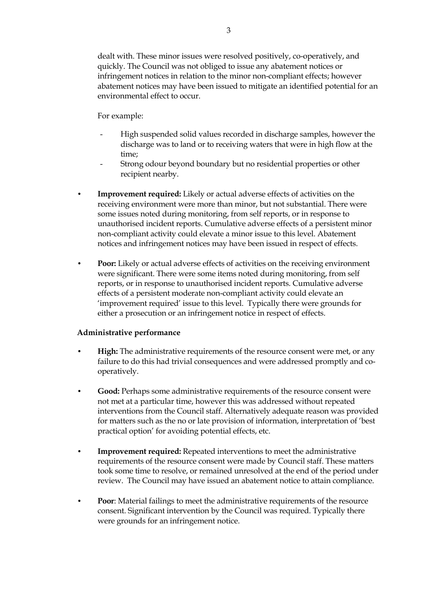dealt with. These minor issues were resolved positively, co-operatively, and quickly. The Council was not obliged to issue any abatement notices or infringement notices in relation to the minor non-compliant effects; however abatement notices may have been issued to mitigate an identified potential for an environmental effect to occur.

For example:

- High suspended solid values recorded in discharge samples, however the discharge was to land or to receiving waters that were in high flow at the time;
- Strong odour beyond boundary but no residential properties or other recipient nearby.
- **Improvement required:** Likely or actual adverse effects of activities on the receiving environment were more than minor, but not substantial. There were some issues noted during monitoring, from self reports, or in response to unauthorised incident reports. Cumulative adverse effects of a persistent minor non-compliant activity could elevate a minor issue to this level. Abatement notices and infringement notices may have been issued in respect of effects.
- **Poor:** Likely or actual adverse effects of activities on the receiving environment were significant. There were some items noted during monitoring, from self reports, or in response to unauthorised incident reports. Cumulative adverse effects of a persistent moderate non-compliant activity could elevate an 'improvement required' issue to this level. Typically there were grounds for either a prosecution or an infringement notice in respect of effects.

#### **Administrative performance**

- **High:** The administrative requirements of the resource consent were met, or any failure to do this had trivial consequences and were addressed promptly and cooperatively.
- **Good:** Perhaps some administrative requirements of the resource consent were not met at a particular time, however this was addressed without repeated interventions from the Council staff. Alternatively adequate reason was provided for matters such as the no or late provision of information, interpretation of 'best practical option' for avoiding potential effects, etc.
- **Improvement required:** Repeated interventions to meet the administrative requirements of the resource consent were made by Council staff. These matters took some time to resolve, or remained unresolved at the end of the period under review. The Council may have issued an abatement notice to attain compliance.
- **Poor**: Material failings to meet the administrative requirements of the resource consent. Significant intervention by the Council was required. Typically there were grounds for an infringement notice.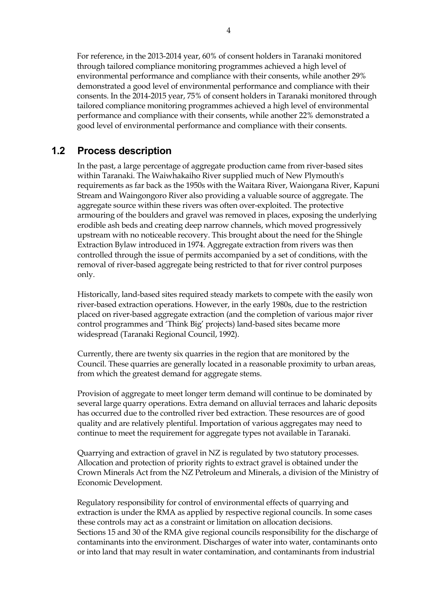For reference, in the 2013-2014 year, 60% of consent holders in Taranaki monitored through tailored compliance monitoring programmes achieved a high level of environmental performance and compliance with their consents, while another 29% demonstrated a good level of environmental performance and compliance with their consents. In the 2014-2015 year, 75% of consent holders in Taranaki monitored through tailored compliance monitoring programmes achieved a high level of environmental performance and compliance with their consents, while another 22% demonstrated a good level of environmental performance and compliance with their consents.

## **1.2 Process description**

 In the past, a large percentage of aggregate production came from river-based sites within Taranaki. The Waiwhakaiho River supplied much of New Plymouth's requirements as far back as the 1950s with the Waitara River, Waiongana River, Kapuni Stream and Waingongoro River also providing a valuable source of aggregate. The aggregate source within these rivers was often over-exploited. The protective armouring of the boulders and gravel was removed in places, exposing the underlying erodible ash beds and creating deep narrow channels, which moved progressively upstream with no noticeable recovery. This brought about the need for the Shingle Extraction Bylaw introduced in 1974. Aggregate extraction from rivers was then controlled through the issue of permits accompanied by a set of conditions, with the removal of river-based aggregate being restricted to that for river control purposes only.

 Historically, land-based sites required steady markets to compete with the easily won river-based extraction operations. However, in the early 1980s, due to the restriction placed on river-based aggregate extraction (and the completion of various major river control programmes and 'Think Big' projects) land-based sites became more widespread (Taranaki Regional Council, 1992).

 Currently, there are twenty six quarries in the region that are monitored by the Council. These quarries are generally located in a reasonable proximity to urban areas, from which the greatest demand for aggregate stems.

Provision of aggregate to meet longer term demand will continue to be dominated by several large quarry operations. Extra demand on alluvial terraces and laharic deposits has occurred due to the controlled river bed extraction. These resources are of good quality and are relatively plentiful. Importation of various aggregates may need to continue to meet the requirement for aggregate types not available in Taranaki.

 Quarrying and extraction of gravel in NZ is regulated by two statutory processes. Allocation and protection of priority rights to extract gravel is obtained under the Crown Minerals Act from the NZ Petroleum and Minerals, a division of the Ministry of Economic Development.

Regulatory responsibility for control of environmental effects of quarrying and extraction is under the RMA as applied by respective regional councils. In some cases these controls may act as a constraint or limitation on allocation decisions. Sections 15 and 30 of the RMA give regional councils responsibility for the discharge of contaminants into the environment. Discharges of water into water, contaminants onto or into land that may result in water contamination, and contaminants from industrial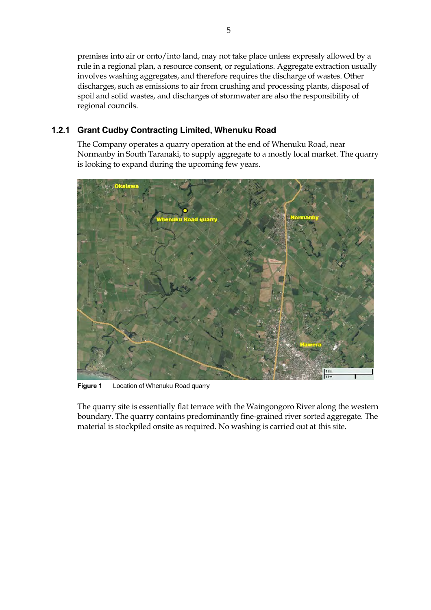premises into air or onto/into land, may not take place unless expressly allowed by a rule in a regional plan, a resource consent, or regulations. Aggregate extraction usually involves washing aggregates, and therefore requires the discharge of wastes. Other discharges, such as emissions to air from crushing and processing plants, disposal of spoil and solid wastes, and discharges of stormwater are also the responsibility of regional councils.

## **1.2.1 Grant Cudby Contracting Limited, Whenuku Road**

The Company operates a quarry operation at the end of Whenuku Road, near Normanby in South Taranaki, to supply aggregate to a mostly local market. The quarry is looking to expand during the upcoming few years.



**Figure 1** Location of Whenuku Road quarry

The quarry site is essentially flat terrace with the Waingongoro River along the western boundary. The quarry contains predominantly fine-grained river sorted aggregate. The material is stockpiled onsite as required. No washing is carried out at this site.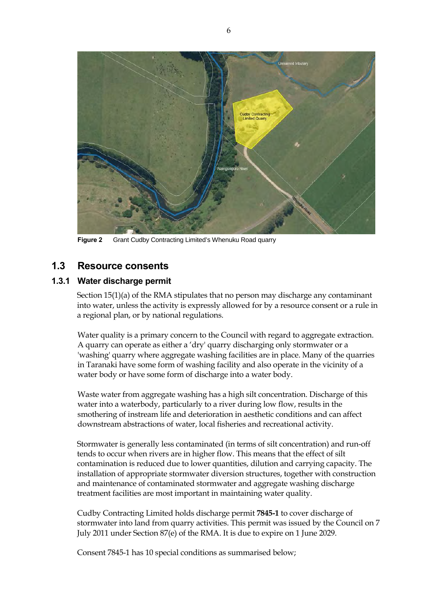

**Figure 2** Grant Cudby Contracting Limited's Whenuku Road quarry

### **1.3 Resource consents**

#### **1.3.1 Water discharge permit**

Section 15(1)(a) of the RMA stipulates that no person may discharge any contaminant into water, unless the activity is expressly allowed for by a resource consent or a rule in a regional plan, or by national regulations.

 Water quality is a primary concern to the Council with regard to aggregate extraction. A quarry can operate as either a 'dry' quarry discharging only stormwater or a 'washing' quarry where aggregate washing facilities are in place. Many of the quarries in Taranaki have some form of washing facility and also operate in the vicinity of a water body or have some form of discharge into a water body.

 Waste water from aggregate washing has a high silt concentration. Discharge of this water into a waterbody, particularly to a river during low flow, results in the smothering of instream life and deterioration in aesthetic conditions and can affect downstream abstractions of water, local fisheries and recreational activity.

Stormwater is generally less contaminated (in terms of silt concentration) and run-off tends to occur when rivers are in higher flow. This means that the effect of silt contamination is reduced due to lower quantities, dilution and carrying capacity. The installation of appropriate stormwater diversion structures, together with construction and maintenance of contaminated stormwater and aggregate washing discharge treatment facilities are most important in maintaining water quality.

Cudby Contracting Limited holds discharge permit **7845-1** to cover discharge of stormwater into land from quarry activities. This permit was issued by the Council on 7 July 2011 under Section 87(e) of the RMA. It is due to expire on 1 June 2029.

Consent 7845-1 has 10 special conditions as summarised below;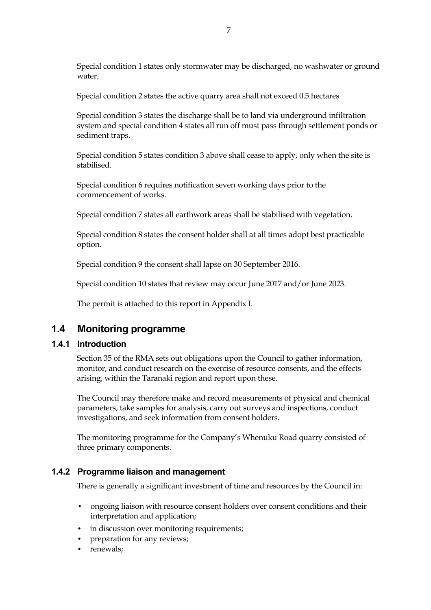Special condition 1 states only stormwater may be discharged, no washwater or ground water.

Special condition 2 states the active quarry area shall not exceed 0.5 hectares

Special condition 3 states the discharge shall be to land via underground infiltration system and special condition 4 states all run off must pass through settlement ponds or sediment traps.

Special condition 5 states condition 3 above shall cease to apply, only when the site is stabilised.

Special condition 6 requires notification seven working days prior to the commencement of works.

Special condition 7 states all earthwork areas shall be stabilised with vegetation.

Special condition 8 states the consent holder shall at all times adopt best practicable option.

Special condition 9 the consent shall lapse on 30 September 2016.

Special condition 10 states that review may occur June 2017 and/or June 2023.

The permit is attached to this report in Appendix I.

### **1.4 Monitoring programme**

#### **1.4.1 Introduction**

Section 35 of the RMA sets out obligations upon the Council to gather information, monitor, and conduct research on the exercise of resource consents, and the effects arising, within the Taranaki region and report upon these.

The Council may therefore make and record measurements of physical and chemical parameters, take samples for analysis, carry out surveys and inspections, conduct investigations, and seek information from consent holders.

The monitoring programme for the Company's Whenuku Road quarry consisted of three primary components.

#### **1.4.2 Programme liaison and management**

There is generally a significant investment of time and resources by the Council in:

- ongoing liaison with resource consent holders over consent conditions and their interpretation and application;
- in discussion over monitoring requirements;
- preparation for any reviews;
- renewals: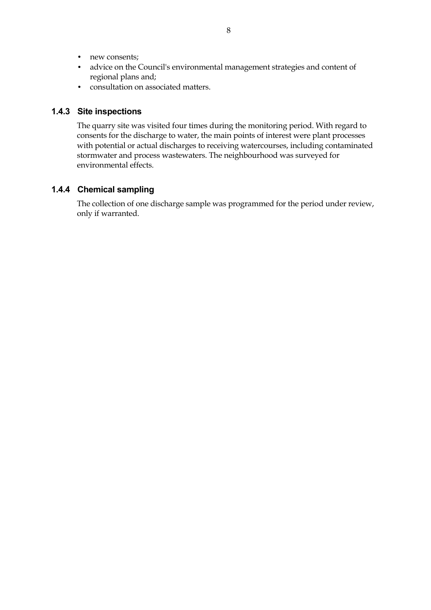- new consents;
- advice on the Council's environmental management strategies and content of regional plans and;
- consultation on associated matters.

#### **1.4.3 Site inspections**

The quarry site was visited four times during the monitoring period. With regard to consents for the discharge to water, the main points of interest were plant processes with potential or actual discharges to receiving watercourses, including contaminated stormwater and process wastewaters. The neighbourhood was surveyed for environmental effects.

#### **1.4.4 Chemical sampling**

The collection of one discharge sample was programmed for the period under review, only if warranted.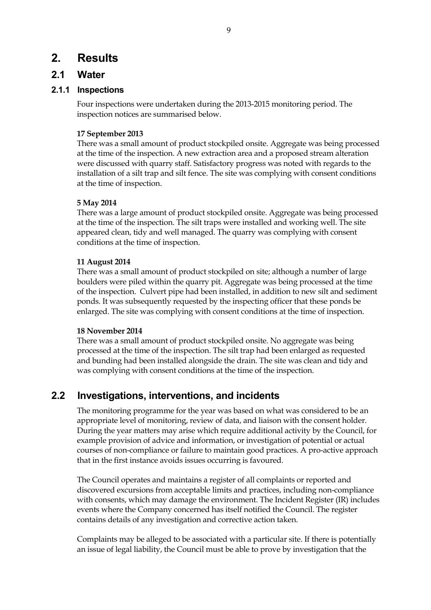## **2. Results**

### **2.1 Water**

#### **2.1.1 Inspections**

Four inspections were undertaken during the 2013-2015 monitoring period. The inspection notices are summarised below.

#### **17 September 2013**

There was a small amount of product stockpiled onsite. Aggregate was being processed at the time of the inspection. A new extraction area and a proposed stream alteration were discussed with quarry staff. Satisfactory progress was noted with regards to the installation of a silt trap and silt fence. The site was complying with consent conditions at the time of inspection.

#### **5 May 2014**

There was a large amount of product stockpiled onsite. Aggregate was being processed at the time of the inspection. The silt traps were installed and working well. The site appeared clean, tidy and well managed. The quarry was complying with consent conditions at the time of inspection.

#### **11 August 2014**

There was a small amount of product stockpiled on site; although a number of large boulders were piled within the quarry pit. Aggregate was being processed at the time of the inspection. Culvert pipe had been installed, in addition to new silt and sediment ponds. It was subsequently requested by the inspecting officer that these ponds be enlarged. The site was complying with consent conditions at the time of inspection.

#### **18 November 2014**

There was a small amount of product stockpiled onsite. No aggregate was being processed at the time of the inspection. The silt trap had been enlarged as requested and bunding had been installed alongside the drain. The site was clean and tidy and was complying with consent conditions at the time of the inspection.

## **2.2 Investigations, interventions, and incidents**

The monitoring programme for the year was based on what was considered to be an appropriate level of monitoring, review of data, and liaison with the consent holder. During the year matters may arise which require additional activity by the Council, for example provision of advice and information, or investigation of potential or actual courses of non-compliance or failure to maintain good practices. A pro-active approach that in the first instance avoids issues occurring is favoured.

The Council operates and maintains a register of all complaints or reported and discovered excursions from acceptable limits and practices, including non-compliance with consents, which may damage the environment. The Incident Register (IR) includes events where the Company concerned has itself notified the Council. The register contains details of any investigation and corrective action taken.

Complaints may be alleged to be associated with a particular site. If there is potentially an issue of legal liability, the Council must be able to prove by investigation that the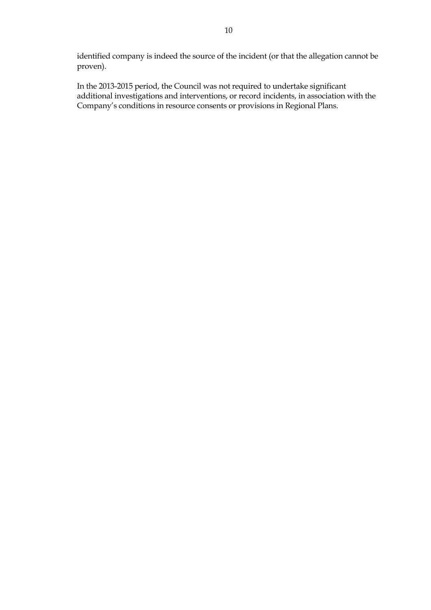identified company is indeed the source of the incident (or that the allegation cannot be proven).

In the 2013-2015 period, the Council was not required to undertake significant additional investigations and interventions, or record incidents, in association with the Company's conditions in resource consents or provisions in Regional Plans.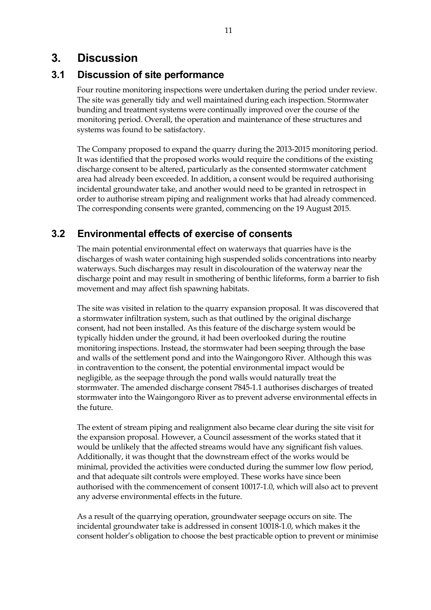## **3. Discussion**

## **3.1 Discussion of site performance**

Four routine monitoring inspections were undertaken during the period under review. The site was generally tidy and well maintained during each inspection. Stormwater bunding and treatment systems were continually improved over the course of the monitoring period. Overall, the operation and maintenance of these structures and systems was found to be satisfactory.

The Company proposed to expand the quarry during the 2013-2015 monitoring period. It was identified that the proposed works would require the conditions of the existing discharge consent to be altered, particularly as the consented stormwater catchment area had already been exceeded. In addition, a consent would be required authorising incidental groundwater take, and another would need to be granted in retrospect in order to authorise stream piping and realignment works that had already commenced. The corresponding consents were granted, commencing on the 19 August 2015.

## **3.2 Environmental effects of exercise of consents**

The main potential environmental effect on waterways that quarries have is the discharges of wash water containing high suspended solids concentrations into nearby waterways. Such discharges may result in discolouration of the waterway near the discharge point and may result in smothering of benthic lifeforms, form a barrier to fish movement and may affect fish spawning habitats.

The site was visited in relation to the quarry expansion proposal. It was discovered that a stormwater infiltration system, such as that outlined by the original discharge consent, had not been installed. As this feature of the discharge system would be typically hidden under the ground, it had been overlooked during the routine monitoring inspections. Instead, the stormwater had been seeping through the base and walls of the settlement pond and into the Waingongoro River. Although this was in contravention to the consent, the potential environmental impact would be negligible, as the seepage through the pond walls would naturally treat the stormwater. The amended discharge consent 7845-1.1 authorises discharges of treated stormwater into the Waingongoro River as to prevent adverse environmental effects in the future.

The extent of stream piping and realignment also became clear during the site visit for the expansion proposal. However, a Council assessment of the works stated that it would be unlikely that the affected streams would have any significant fish values. Additionally, it was thought that the downstream effect of the works would be minimal, provided the activities were conducted during the summer low flow period, and that adequate silt controls were employed. These works have since been authorised with the commencement of consent 10017-1.0, which will also act to prevent any adverse environmental effects in the future.

As a result of the quarrying operation, groundwater seepage occurs on site. The incidental groundwater take is addressed in consent 10018-1.0, which makes it the consent holder's obligation to choose the best practicable option to prevent or minimise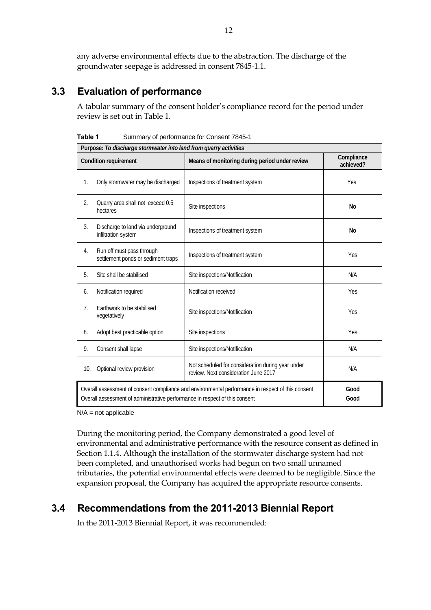any adverse environmental effects due to the abstraction. The discharge of the groundwater seepage is addressed in consent 7845-1.1.

## **3.3 Evaluation of performance**

A tabular summary of the consent holder's compliance record for the period under review is set out in Table 1.

**Table 1** Summary of performance for Consent 7845-1

| Purpose: To discharge stormwater into land from quarry activities                                                                                                                |                                                                 |                                                                                           |                         |
|----------------------------------------------------------------------------------------------------------------------------------------------------------------------------------|-----------------------------------------------------------------|-------------------------------------------------------------------------------------------|-------------------------|
|                                                                                                                                                                                  | <b>Condition requirement</b>                                    | Means of monitoring during period under review                                            | Compliance<br>achieved? |
| 1.                                                                                                                                                                               | Only stormwater may be discharged                               | Inspections of treatment system                                                           | Yes                     |
| $\overline{2}$ .                                                                                                                                                                 | Quarry area shall not exceed 0.5<br>hectares                    | Site inspections                                                                          | No                      |
| 3.                                                                                                                                                                               | Discharge to land via underground<br>infiltration system        | Inspections of treatment system                                                           | No                      |
| 4.                                                                                                                                                                               | Run off must pass through<br>settlement ponds or sediment traps | Inspections of treatment system                                                           | Yes                     |
| 5.                                                                                                                                                                               | Site shall be stabilised                                        | Site inspections/Notification                                                             | N/A                     |
| 6.                                                                                                                                                                               | Notification required                                           | Notification received                                                                     | Yes                     |
| 7.                                                                                                                                                                               | Earthwork to be stabilised<br>vegetatively                      | Site inspections/Notification                                                             | Yes                     |
| 8.                                                                                                                                                                               | Adopt best practicable option                                   | Site inspections                                                                          | Yes                     |
| 9.                                                                                                                                                                               | Consent shall lapse                                             | Site inspections/Notification                                                             | N/A                     |
| 10.                                                                                                                                                                              | Optional review provision                                       | Not scheduled for consideration during year under<br>review. Next consideration June 2017 | N/A                     |
| Overall assessment of consent compliance and environmental performance in respect of this consent<br>Overall assessment of administrative performance in respect of this consent |                                                                 |                                                                                           | Good<br>Good            |

 $N/A$  = not applicable

During the monitoring period, the Company demonstrated a good level of environmental and administrative performance with the resource consent as defined in Section 1.1.4. Although the installation of the stormwater discharge system had not been completed, and unauthorised works had begun on two small unnamed tributaries, the potential environmental effects were deemed to be negligible. Since the expansion proposal, the Company has acquired the appropriate resource consents.

## **3.4 Recommendations from the 2011-2013 Biennial Report**

In the 2011-2013 Biennial Report, it was recommended: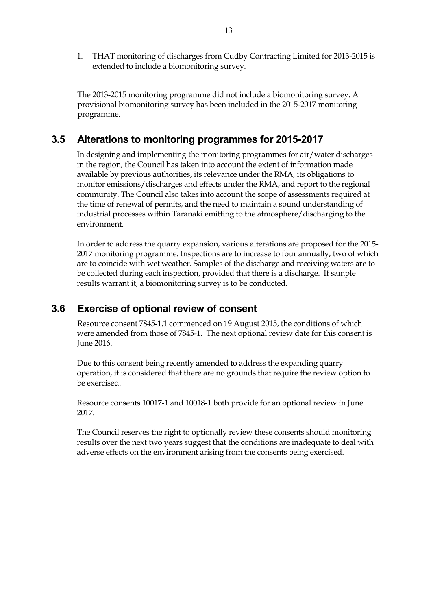1. THAT monitoring of discharges from Cudby Contracting Limited for 2013-2015 is extended to include a biomonitoring survey.

The 2013-2015 monitoring programme did not include a biomonitoring survey. A provisional biomonitoring survey has been included in the 2015-2017 monitoring programme.

## **3.5 Alterations to monitoring programmes for 2015-2017**

In designing and implementing the monitoring programmes for air/water discharges in the region, the Council has taken into account the extent of information made available by previous authorities, its relevance under the RMA, its obligations to monitor emissions/discharges and effects under the RMA, and report to the regional community. The Council also takes into account the scope of assessments required at the time of renewal of permits, and the need to maintain a sound understanding of industrial processes within Taranaki emitting to the atmosphere/discharging to the environment.

In order to address the quarry expansion, various alterations are proposed for the 2015- 2017 monitoring programme. Inspections are to increase to four annually, two of which are to coincide with wet weather. Samples of the discharge and receiving waters are to be collected during each inspection, provided that there is a discharge. If sample results warrant it, a biomonitoring survey is to be conducted.

### **3.6 Exercise of optional review of consent**

 Resource consent 7845-1.1 commenced on 19 August 2015, the conditions of which were amended from those of 7845-1. The next optional review date for this consent is June 2016.

Due to this consent being recently amended to address the expanding quarry operation, it is considered that there are no grounds that require the review option to be exercised.

Resource consents 10017-1 and 10018-1 both provide for an optional review in June 2017.

The Council reserves the right to optionally review these consents should monitoring results over the next two years suggest that the conditions are inadequate to deal with adverse effects on the environment arising from the consents being exercised.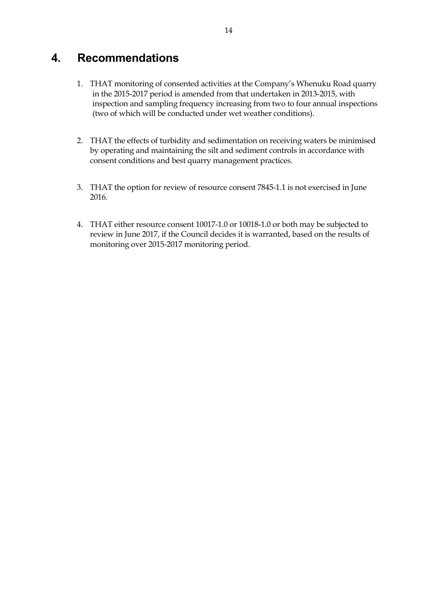## **4. Recommendations**

- 1. THAT monitoring of consented activities at the Company's Whenuku Road quarry in the 2015-2017 period is amended from that undertaken in 2013-2015, with inspection and sampling frequency increasing from two to four annual inspections (two of which will be conducted under wet weather conditions).
- 2. THAT the effects of turbidity and sedimentation on receiving waters be minimised by operating and maintaining the silt and sediment controls in accordance with consent conditions and best quarry management practices.
- 3. THAT the option for review of resource consent 7845-1.1 is not exercised in June 2016.
- 4. THAT either resource consent 10017-1.0 or 10018-1.0 or both may be subjected to review in June 2017, if the Council decides it is warranted, based on the results of monitoring over 2015-2017 monitoring period.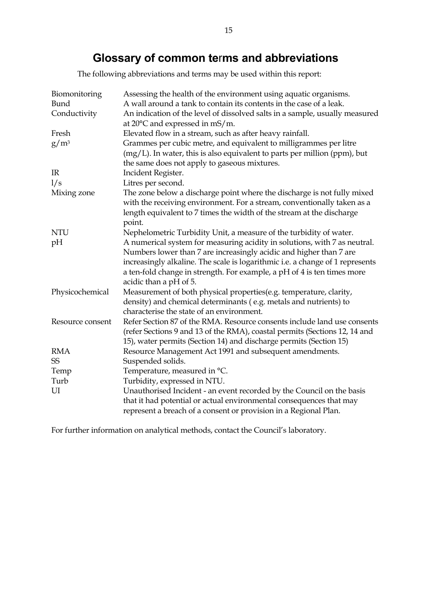## **Glossary of common te**r**ms and abbreviations**

The following abbreviations and terms may be used within this report:

| Biomonitoring<br>Bund<br>Conductivity | Assessing the health of the environment using aquatic organisms.<br>A wall around a tank to contain its contents in the case of a leak.<br>An indication of the level of dissolved salts in a sample, usually measured |
|---------------------------------------|------------------------------------------------------------------------------------------------------------------------------------------------------------------------------------------------------------------------|
|                                       | at $20^{\circ}$ C and expressed in mS/m.                                                                                                                                                                               |
| Fresh                                 | Elevated flow in a stream, such as after heavy rainfall.                                                                                                                                                               |
| $g/m^3$                               | Grammes per cubic metre, and equivalent to milligrammes per litre<br>(mg/L). In water, this is also equivalent to parts per million (ppm), but<br>the same does not apply to gaseous mixtures.                         |
| IR                                    | Incident Register.                                                                                                                                                                                                     |
| 1/s                                   | Litres per second.                                                                                                                                                                                                     |
| Mixing zone                           | The zone below a discharge point where the discharge is not fully mixed                                                                                                                                                |
|                                       | with the receiving environment. For a stream, conventionally taken as a                                                                                                                                                |
|                                       | length equivalent to 7 times the width of the stream at the discharge                                                                                                                                                  |
|                                       | point.                                                                                                                                                                                                                 |
| <b>NTU</b>                            | Nephelometric Turbidity Unit, a measure of the turbidity of water.                                                                                                                                                     |
| pH                                    | A numerical system for measuring acidity in solutions, with 7 as neutral.                                                                                                                                              |
|                                       | Numbers lower than 7 are increasingly acidic and higher than 7 are                                                                                                                                                     |
|                                       | increasingly alkaline. The scale is logarithmic i.e. a change of 1 represents                                                                                                                                          |
|                                       | a ten-fold change in strength. For example, a pH of 4 is ten times more                                                                                                                                                |
|                                       | acidic than a pH of 5.                                                                                                                                                                                                 |
| Physicochemical                       | Measurement of both physical properties(e.g. temperature, clarity,                                                                                                                                                     |
|                                       | density) and chemical determinants (e.g. metals and nutrients) to                                                                                                                                                      |
|                                       | characterise the state of an environment.                                                                                                                                                                              |
| Resource consent                      | Refer Section 87 of the RMA. Resource consents include land use consents                                                                                                                                               |
|                                       | (refer Sections 9 and 13 of the RMA), coastal permits (Sections 12, 14 and                                                                                                                                             |
|                                       | 15), water permits (Section 14) and discharge permits (Section 15)                                                                                                                                                     |
| <b>RMA</b>                            | Resource Management Act 1991 and subsequent amendments.                                                                                                                                                                |
| SS                                    | Suspended solids.                                                                                                                                                                                                      |
| Temp                                  | Temperature, measured in °C.                                                                                                                                                                                           |
| Turb                                  | Turbidity, expressed in NTU.                                                                                                                                                                                           |
| UI                                    | Unauthorised Incident - an event recorded by the Council on the basis                                                                                                                                                  |
|                                       | that it had potential or actual environmental consequences that may                                                                                                                                                    |
|                                       | represent a breach of a consent or provision in a Regional Plan.                                                                                                                                                       |

For further information on analytical methods, contact the Council's laboratory.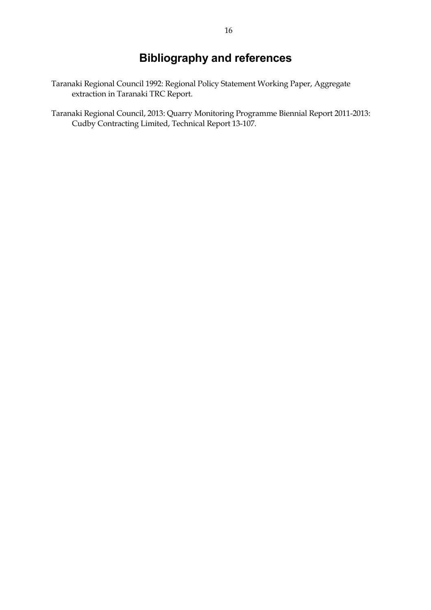## **Bibliography and references**

- Taranaki Regional Council 1992: Regional Policy Statement Working Paper, Aggregate extraction in Taranaki TRC Report.
- Taranaki Regional Council, 2013: Quarry Monitoring Programme Biennial Report 2011-2013: Cudby Contracting Limited, Technical Report 13-107.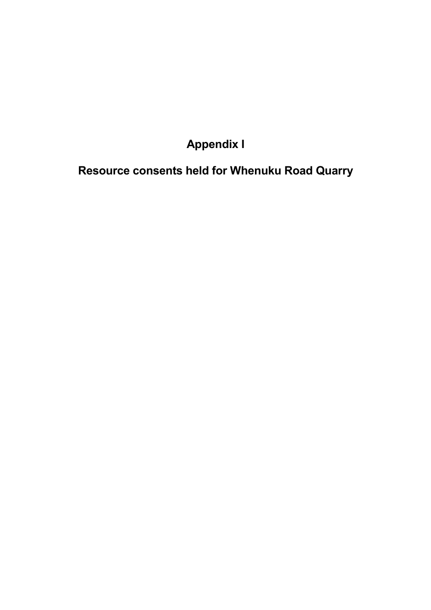# **Appendix I**

**Resource consents held for Whenuku Road Quarry**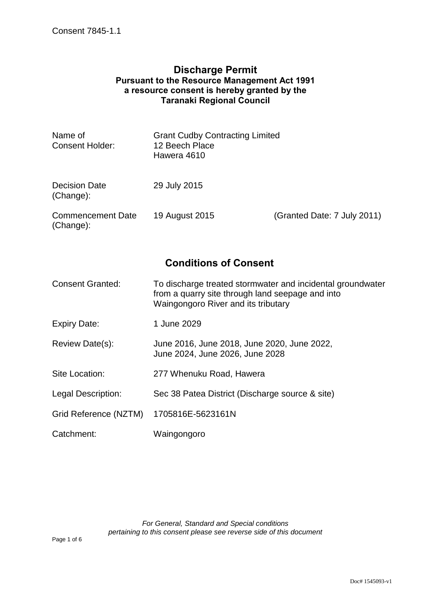#### **Discharge Permit Pursuant to the Resource Management Act 1991 a resource consent is hereby granted by the Taranaki Regional Council**

| Name of<br><b>Consent Holder:</b>     | <b>Grant Cudby Contracting Limited</b><br>12 Beech Place<br>Hawera 4610 |                             |
|---------------------------------------|-------------------------------------------------------------------------|-----------------------------|
| <b>Decision Date</b><br>(Change):     | 29 July 2015                                                            |                             |
| <b>Commencement Date</b><br>(Change): | 19 August 2015                                                          | (Granted Date: 7 July 2011) |

## **Conditions of Consent**

| <b>Consent Granted:</b> | To discharge treated stormwater and incidental groundwater |
|-------------------------|------------------------------------------------------------|
|                         | from a quarry site through land seepage and into           |
|                         | Waingongoro River and its tributary                        |

- Expiry Date: 1 June 2029
- Review Date(s): June 2016, June 2018, June 2020, June 2022, June 2024, June 2026, June 2028
- Site Location: 277 Whenuku Road, Hawera
- Legal Description: Sec 38 Patea District (Discharge source & site)
- Grid Reference (NZTM) 1705816E-5623161N
- Catchment: Waingongoro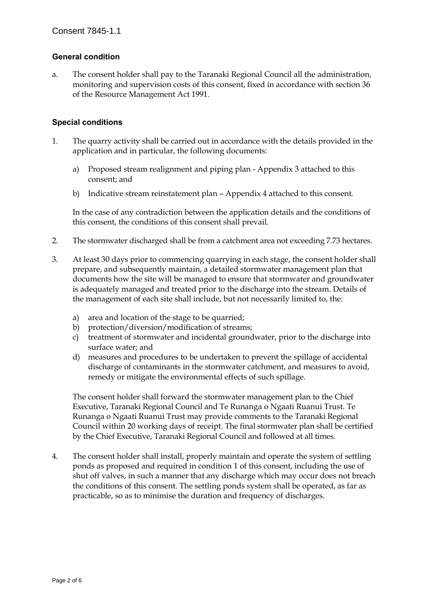#### **General condition**

a. The consent holder shall pay to the Taranaki Regional Council all the administration, monitoring and supervision costs of this consent, fixed in accordance with section 36 of the Resource Management Act 1991.

#### **Special conditions**

- 1. The quarry activity shall be carried out in accordance with the details provided in the application and in particular, the following documents:
	- a) Proposed stream realignment and piping plan Appendix 3 attached to this consent; and
	- b) Indicative stream reinstatement plan Appendix 4 attached to this consent.

In the case of any contradiction between the application details and the conditions of this consent, the conditions of this consent shall prevail.

- 2. The stormwater discharged shall be from a catchment area not exceeding 7.73 hectares.
- 3. At least 30 days prior to commencing quarrying in each stage, the consent holder shall prepare, and subsequently maintain, a detailed stormwater management plan that documents how the site will be managed to ensure that stormwater and groundwater is adequately managed and treated prior to the discharge into the stream. Details of the management of each site shall include, but not necessarily limited to, the:
	- a) area and location of the stage to be quarried;
	- b) protection/diversion/modification of streams;
	- c) treatment of stormwater and incidental groundwater, prior to the discharge into surface water; and
	- d) measures and procedures to be undertaken to prevent the spillage of accidental discharge of contaminants in the stormwater catchment, and measures to avoid, remedy or mitigate the environmental effects of such spillage.

The consent holder shall forward the stormwater management plan to the Chief Executive, Taranaki Regional Council and Te Runanga o Ngaati Ruanui Trust. Te Runanga o Ngaati Ruanui Trust may provide comments to the Taranaki Regional Council within 20 working days of receipt. The final stormwater plan shall be certified by the Chief Executive, Taranaki Regional Council and followed at all times.

4. The consent holder shall install, properly maintain and operate the system of settling ponds as proposed and required in condition 1 of this consent, including the use of shut off valves, in such a manner that any discharge which may occur does not breach the conditions of this consent. The settling ponds system shall be operated, as far as practicable, so as to minimise the duration and frequency of discharges.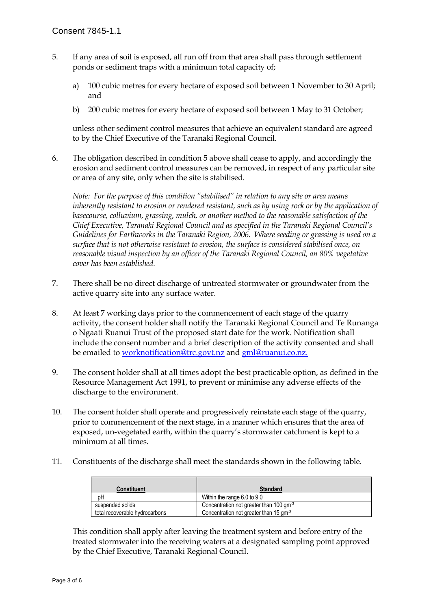- 5. If any area of soil is exposed, all run off from that area shall pass through settlement ponds or sediment traps with a minimum total capacity of;
	- a) 100 cubic metres for every hectare of exposed soil between 1 November to 30 April; and
	- b) 200 cubic metres for every hectare of exposed soil between 1 May to 31 October;

unless other sediment control measures that achieve an equivalent standard are agreed to by the Chief Executive of the Taranaki Regional Council.

6. The obligation described in condition 5 above shall cease to apply, and accordingly the erosion and sediment control measures can be removed, in respect of any particular site or area of any site, only when the site is stabilised.

*Note: For the purpose of this condition "stabilised" in relation to any site or area means inherently resistant to erosion or rendered resistant, such as by using rock or by the application of basecourse, colluvium, grassing, mulch, or another method to the reasonable satisfaction of the Chief Executive, Taranaki Regional Council and as specified in the Taranaki Regional Council's Guidelines for Earthworks in the Taranaki Region, 2006. Where seeding or grassing is used on a surface that is not otherwise resistant to erosion, the surface is considered stabilised once, on reasonable visual inspection by an officer of the Taranaki Regional Council, an 80% vegetative cover has been established.* 

- 7. There shall be no direct discharge of untreated stormwater or groundwater from the active quarry site into any surface water.
- 8. At least 7 working days prior to the commencement of each stage of the quarry activity, the consent holder shall notify the Taranaki Regional Council and Te Runanga o Ngaati Ruanui Trust of the proposed start date for the work. Notification shall include the consent number and a brief description of the activity consented and shall be emailed to worknotification@trc.govt.nz and gml@ruanui.co.nz.
- 9. The consent holder shall at all times adopt the best practicable option, as defined in the Resource Management Act 1991, to prevent or minimise any adverse effects of the discharge to the environment.
- 10. The consent holder shall operate and progressively reinstate each stage of the quarry, prior to commencement of the next stage, in a manner which ensures that the area of exposed, un-vegetated earth, within the quarry's stormwater catchment is kept to a minimum at all times.
- 11. Constituents of the discharge shall meet the standards shown in the following table.

| <b>Constituent</b>             | <b>Standard</b>                                     |
|--------------------------------|-----------------------------------------------------|
| pН                             | Within the range 6.0 to 9.0                         |
| suspended solids               | Concentration not greater than 100 gm <sup>-3</sup> |
| total recoverable hydrocarbons | Concentration not greater than 15 gm <sup>-3</sup>  |

This condition shall apply after leaving the treatment system and before entry of the treated stormwater into the receiving waters at a designated sampling point approved by the Chief Executive, Taranaki Regional Council.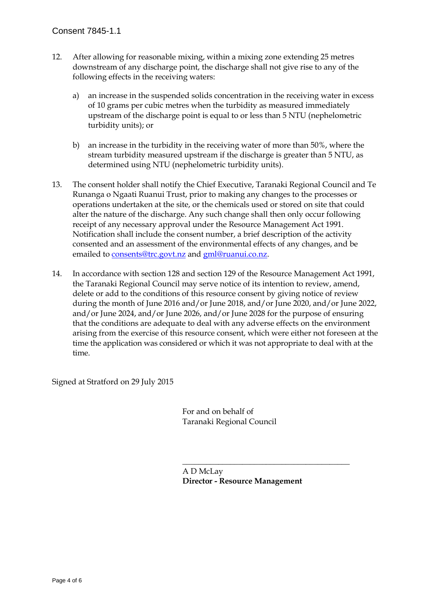- 12. After allowing for reasonable mixing, within a mixing zone extending 25 metres downstream of any discharge point, the discharge shall not give rise to any of the following effects in the receiving waters:
	- a) an increase in the suspended solids concentration in the receiving water in excess of 10 grams per cubic metres when the turbidity as measured immediately upstream of the discharge point is equal to or less than 5 NTU (nephelometric turbidity units); or
	- b) an increase in the turbidity in the receiving water of more than 50%, where the stream turbidity measured upstream if the discharge is greater than 5 NTU, as determined using NTU (nephelometric turbidity units).
- 13. The consent holder shall notify the Chief Executive, Taranaki Regional Council and Te Runanga o Ngaati Ruanui Trust, prior to making any changes to the processes or operations undertaken at the site, or the chemicals used or stored on site that could alter the nature of the discharge. Any such change shall then only occur following receipt of any necessary approval under the Resource Management Act 1991. Notification shall include the consent number, a brief description of the activity consented and an assessment of the environmental effects of any changes, and be emailed to consents@trc.govt.nz and gml@ruanui.co.nz.
- 14. In accordance with section 128 and section 129 of the Resource Management Act 1991, the Taranaki Regional Council may serve notice of its intention to review, amend, delete or add to the conditions of this resource consent by giving notice of review during the month of June 2016 and/or June 2018, and/or June 2020, and/or June 2022, and/or June 2024, and/or June 2026, and/or June 2028 for the purpose of ensuring that the conditions are adequate to deal with any adverse effects on the environment arising from the exercise of this resource consent, which were either not foreseen at the time the application was considered or which it was not appropriate to deal with at the time.

Signed at Stratford on 29 July 2015

 For and on behalf of Taranaki Regional Council

 $\overline{\phantom{a}}$  , which is a set of the contract of the contract of the contract of the contract of the contract of the contract of the contract of the contract of the contract of the contract of the contract of the contract

 A D McLay **Director - Resource Management**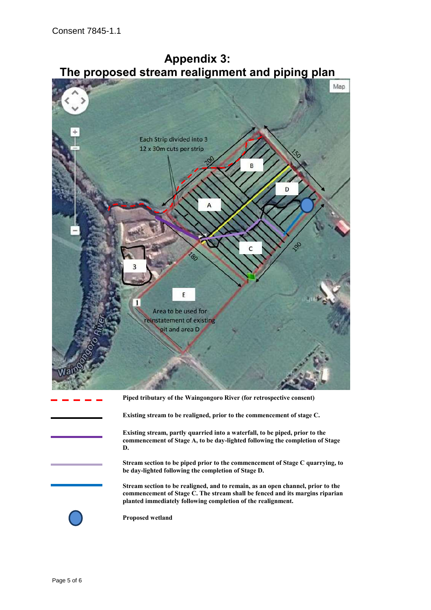



**Existing stream to be realigned, prior to the commencement of stage C.**

**Existing stream, partly quarried into a waterfall, to be piped, prior to the commencement of Stage A, to be day-lighted following the completion of Stage D.**

**Stream section to be piped prior to the commencement of Stage C quarrying, to be day-lighted following the completion of Stage D.**

**Stream section to be realigned, and to remain, as an open channel, prior to the commencement of Stage C. The stream shall be fenced and its margins riparian planted immediately following completion of the realignment.** 

**Proposed wetland**